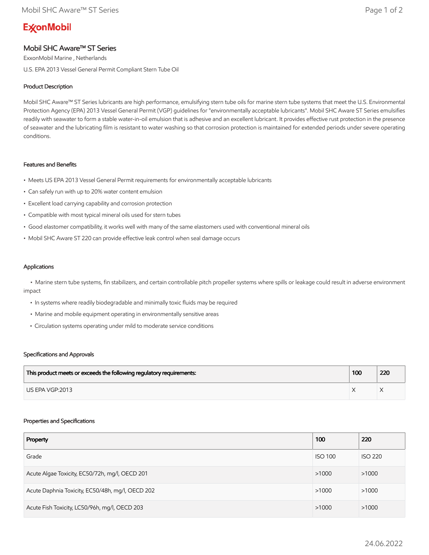# **ExconMobil**

## Mobil SHC Aware™ ST Series

ExxonMobil Marine , Netherlands

U.S. EPA 2013 Vessel General Permit Compliant Stern Tube Oil

### Product Description

Mobil SHC Aware™ ST Series lubricants are high performance, emulsifying stern tube oils for marine stern tube systems that meet the U.S. Environmental Protection Agency (EPA) 2013 Vessel General Permit (VGP) guidelines for "environmentally acceptable lubricants". Mobil SHC Aware ST Series emulsifies readily with seawater to form a stable water-in-oil emulsion that is adhesive and an excellent lubricant. It provides effective rust protection in the presence of seawater and the lubricating film is resistant to water washing so that corrosion protection is maintained for extended periods under severe operating conditions.

#### Features and Benefits

- Meets US EPA 2013 Vessel General Permit requirements for environmentally acceptable lubricants
- Can safely run with up to 20% water content emulsion
- Excellent load carrying capability and corrosion protection
- Compatible with most typical mineral oils used for stern tubes
- Good elastomer compatibility, it works well with many of the same elastomers used with conventional mineral oils
- Mobil SHC Aware ST 220 can provide effective leak control when seal damage occurs

#### Applications

 • Marine stern tube systems, fin stabilizers, and certain controllable pitch propeller systems where spills or leakage could result in adverse environment impact

- In systems where readily biodegradable and minimally toxic fluids may be required
- Marine and mobile equipment operating in environmentally sensitive areas
- Circulation systems operating under mild to moderate service conditions

#### Specifications and Approvals

| This product meets or exceeds the following regulatory requirements: | 100 | 220 |
|----------------------------------------------------------------------|-----|-----|
| LIS EPA VGP:2013                                                     |     |     |

#### Properties and Specifications

| Property                                         | 100            | 220            |
|--------------------------------------------------|----------------|----------------|
| Grade                                            | <b>ISO 100</b> | <b>ISO 220</b> |
| Acute Algae Toxicity, EC50/72h, mg/l, OECD 201   | >1000          | >1000          |
| Acute Daphnia Toxicity, EC50/48h, mg/l, OECD 202 | >1000          | >1000          |
| Acute Fish Toxicity, LC50/96h, mg/l, OECD 203    | >1000          | >1000          |